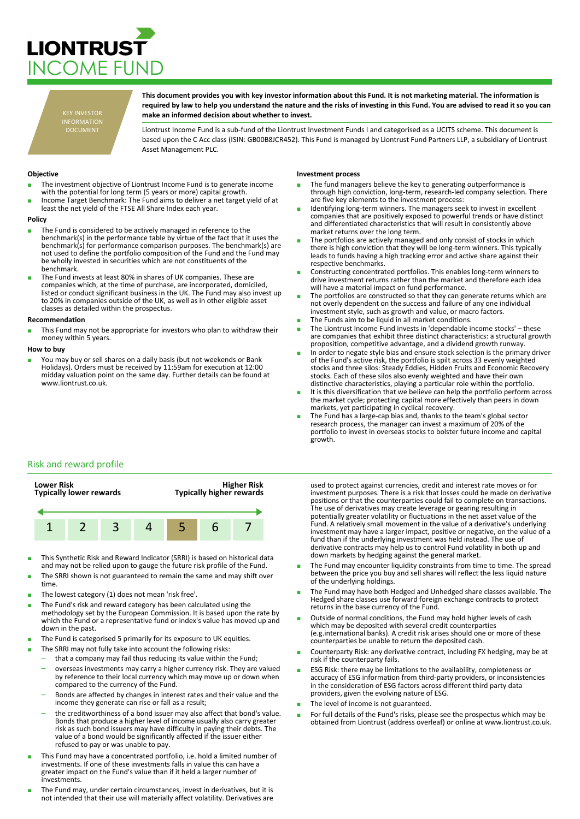

KEY INVESTOR INFORMATION DOCUMENT

**This document provides you with key investor information about this Fund. It is not marketing material. The information is required by law to help you understand the nature and the risks of investing in this Fund. You are advised to read it so you can make an informed decision about whether to invest.**

Liontrust Income Fund is a sub-fund of the Liontrust Investment Funds I and categorised as a UCITS scheme. This document is based upon the C Acc class (ISIN: GB00B8JCR452). This Fund is managed by Liontrust Fund Partners LLP, a subsidiary of Liontrust Asset Management PLC.

# **Objective**

- The investment objective of Liontrust Income Fund is to generate income with the potential for long term (5 years or more) capital growth.
- Income Target Benchmark: The Fund aims to deliver a net target yield of at least the net yield of the FTSE All Share Index each year.

#### **Policy**

- The Fund is considered to be actively managed in reference to the benchmark(s) in the performance table by virtue of the fact that it uses the benchmark(s) for performance comparison purposes. The benchmark(s) are not used to define the portfolio composition of the Fund and the Fund may be wholly invested in securities which are not constituents of the benchmark.
- The Fund invests at least 80% in shares of UK companies. These are companies which, at the time of purchase, are incorporated, domiciled, listed or conduct significant business in the UK. The Fund may also invest up to 20% in companies outside of the UK, as well as in other eligible asset classes as detailed within the prospectus.

#### **Recommendation**

This Fund may not be appropriate for investors who plan to withdraw their money within 5 years.

#### **How to buy**

You may buy or sell shares on a daily basis (but not weekends or Bank Holidays). Orders must be received by 11:59am for execution at 12:00 midday valuation point on the same day. Further details can be found at www.liontrust.co.uk.

### **Investment process**

- The fund managers believe the key to generating outperformance is through high conviction, long-term, research-led company selection. There are five key elements to the investment process:
- Identifying long-term winners. The managers seek to invest in excellent companies that are positively exposed to powerful trends or have distinct and differentiated characteristics that will result in consistently above market returns over the long term.
- The portfolios are actively managed and only consist of stocks in which there is high conviction that they will be long-term winners. This typically leads to funds having a high tracking error and active share against their respective benchmarks.
- Constructing concentrated portfolios. This enables long-term winners to drive investment returns rather than the market and therefore each idea will have a material impact on fund performance.
- The portfolios are constructed so that they can generate returns which are not overly dependent on the success and failure of any one individual investment style, such as growth and value, or macro factors.
- The Funds aim to be liquid in all market conditions.
- The Liontrust Income Fund invests in 'dependable income stocks' these are companies that exhibit three distinct characteristics: a structural growth proposition, competitive advantage, and a dividend growth runway.
- In order to negate style bias and ensure stock selection is the primary driver of the Fund's active risk, the portfolio is spilt across 33 evenly weighted stocks and three silos: Steady Eddies, Hidden Fruits and Economic Recovery stocks. Each of these silos also evenly weighted and have their own distinctive characteristics, playing a particular role within the portfolio.
- It is this diversification that we believe can help the portfolio perform across the market cycle; protecting capital more effectively than peers in down markets, yet participating in cyclical recovery.
- The Fund has a large-cap bias and, thanks to the team's global sector research process, the manager can invest a maximum of 20% of the portfolio to invest in overseas stocks to bolster future income and capital growth.

# Risk and reward profile



- This Synthetic Risk and Reward Indicator (SRRI) is based on historical data and may not be relied upon to gauge the future risk profile of the Fund.
- The SRRI shown is not guaranteed to remain the same and may shift over time.
- The lowest category (1) does not mean 'risk free'.
- The Fund's risk and reward category has been calculated using the methodology set by the European Commission. It is based upon the rate by which the Fund or a representative fund or index's value has moved up and down in the past.
- The Fund is categorised 5 primarily for its exposure to UK equities.
- The SRRI may not fully take into account the following risks:
	- that a company may fail thus reducing its value within the Fund:
		- overseas investments may carry a higher currency risk. They are valued by reference to their local currency which may move up or down when compared to the currency of the Fund.
	- Bonds are affected by changes in interest rates and their value and the income they generate can rise or fall as a result;
	- the creditworthiness of a bond issuer may also affect that bond's value. Bonds that produce a higher level of income usually also carry greater risk as such bond issuers may have difficulty in paying their debts. The value of a bond would be significantly affected if the issuer either refused to pay or was unable to pay.
- This Fund may have a concentrated portfolio, i.e. hold a limited number of investments. If one of these investments falls in value this can have a greater impact on the Fund's value than if it held a larger number of investments.
- The Fund may, under certain circumstances, invest in derivatives, but it is not intended that their use will materially affect volatility. Derivatives are

used to protect against currencies, credit and interest rate moves or for investment purposes. There is a risk that losses could be made on derivative positions or that the counterparties could fail to complete on transactions. The use of derivatives may create leverage or gearing resulting in potentially greater volatility or fluctuations in the net asset value of the Fund. A relatively small movement in the value of a derivative's underlying investment may have a larger impact, positive or negative, on the value of a fund than if the underlying investment was held instead. The use of derivative contracts may help us to control Fund volatility in both up and down markets by hedging against the general market.

- The Fund may encounter liquidity constraints from time to time. The spread between the price you buy and sell shares will reflect the less liquid nature of the underlying holdings.
- The Fund may have both Hedged and Unhedged share classes available. The Hedged share classes use forward foreign exchange contracts to protect returns in the base currency of the Fund.
- Outside of normal conditions, the Fund may hold higher levels of cash which may be deposited with several credit counterparties (e.g.international banks). A credit risk arises should one or more of these counterparties be unable to return the deposited cash.
- Counterparty Risk: any derivative contract, including FX hedging, may be at risk if the counterparty fails.
- ESG Risk: there may be limitations to the availability, completeness or accuracy of ESG information from third-party providers, or inconsistencies in the consideration of ESG factors across different third party data providers, given the evolving nature of ESG.
- The level of income is not guaranteed.
- For full details of the Fund's risks, please see the prospectus which may be obtained from Liontrust (address overleaf) or online at www.liontrust.co.uk.